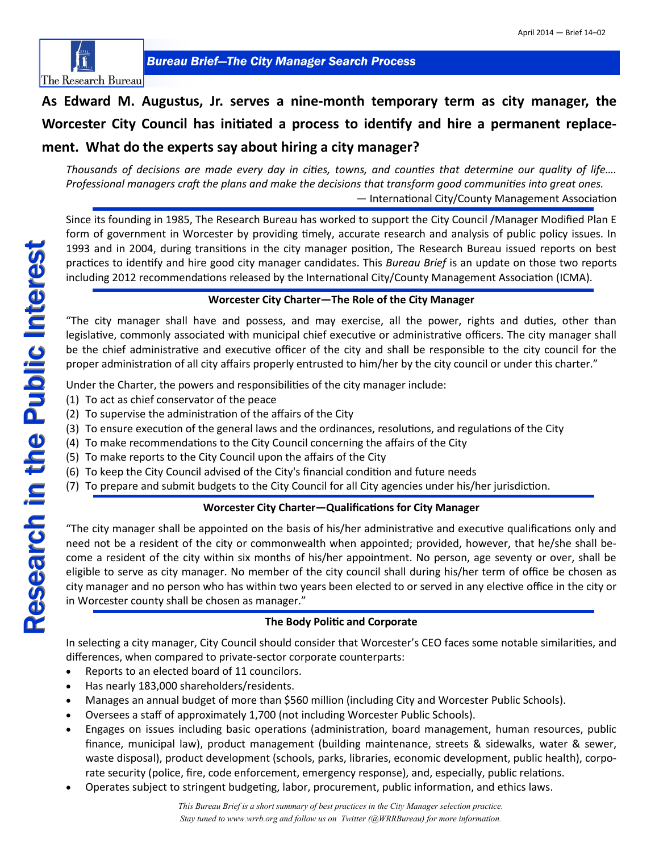

# **As Edward M. Augustus, Jr. serves a nine-month temporary term as city manager, the Worcester City Council has initiated a process to identify and hire a permanent replacement. What do the experts say about hiring a city manager?**

*Thousands of decisions are made every day in cities, towns, and counties that determine our quality of life…. Professional managers craft the plans and make the decisions that transform good communities into great ones.* — International City/County Management Association

Since its founding in 1985, The Research Bureau has worked to support the City Council /Manager Modified Plan E form of government in Worcester by providing timely, accurate research and analysis of public policy issues. In 1993 and in 2004, during transitions in the city manager position, The Research Bureau issued reports on best practices to identify and hire good city manager candidates. This *Bureau Brief* is an update on those two reports including 2012 recommendations released by the International City/County Management Association (ICMA).

### **Worcester City Charter—The Role of the City Manager**

"The city manager shall have and possess, and may exercise, all the power, rights and duties, other than legislative, commonly associated with municipal chief executive or administrative officers. The city manager shall be the chief administrative and executive officer of the city and shall be responsible to the city council for the proper administration of all city affairs properly entrusted to him/her by the city council or under this charter."

Under the Charter, the powers and responsibilities of the city manager include:

- (1) To act as chief conservator of the peace
- (2) To supervise the administration of the affairs of the City
- (3) To ensure execution of the general laws and the ordinances, resolutions, and regulations of the City
- (4) To make recommendations to the City Council concerning the affairs of the City
- (5) To make reports to the City Council upon the affairs of the City
- (6) To keep the City Council advised of the City's financial condition and future needs
- (7) To prepare and submit budgets to the City Council for all City agencies under his/her jurisdiction.

### **Worcester City Charter—Qualifications for City Manager**

"The city manager shall be appointed on the basis of his/her administrative and executive qualifications only and need not be a resident of the city or commonwealth when appointed; provided, however, that he/she shall become a resident of the city within six months of his/her appointment. No person, age seventy or over, shall be eligible to serve as city manager. No member of the city council shall during his/her term of office be chosen as city manager and no person who has within two years been elected to or served in any elective office in the city or in Worcester county shall be chosen as manager."

### **The Body Politic and Corporate**

In selecting a city manager, City Council should consider that Worcester's CEO faces some notable similarities, and differences, when compared to private-sector corporate counterparts:

- Reports to an elected board of 11 councilors.
- Has nearly 183,000 shareholders/residents.
- Manages an annual budget of more than \$560 million (including City and Worcester Public Schools).
- Oversees a staff of approximately 1,700 (not including Worcester Public Schools).
- Engages on issues including basic operations (administration, board management, human resources, public finance, municipal law), product management (building maintenance, streets & sidewalks, water & sewer, waste disposal), product development (schools, parks, libraries, economic development, public health), corporate security (police, fire, code enforcement, emergency response), and, especially, public relations.
- Operates subject to stringent budgeting, labor, procurement, public information, and ethics laws.